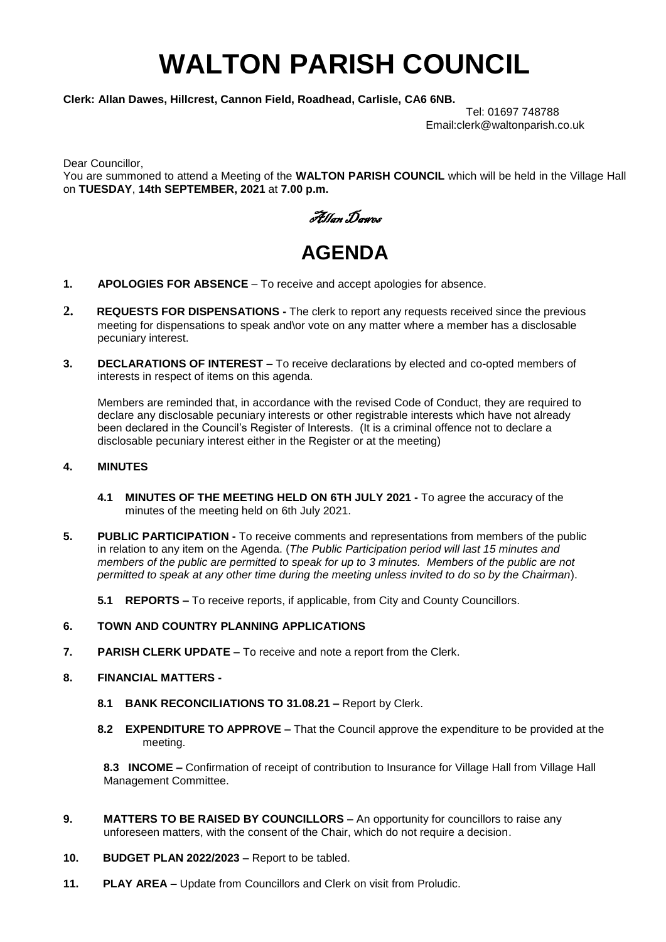## **WALTON PARISH COUNCIL**

**Clerk: Allan Dawes, Hillcrest, Cannon Field, Roadhead, Carlisle, CA6 6NB.** 

Tel: 01697 748788 Email:clerk@waltonparish.co.uk

Dear Councillor,

You are summoned to attend a Meeting of the **WALTON PARISH COUNCIL** which will be held in the Village Hall on **TUESDAY**, **14th SEPTEMBER, 2021** at **7.00 p.m.**

Allan Dawes

## **AGENDA**

- **1. APOLOGIES FOR ABSENCE** To receive and accept apologies for absence.
- **2. REQUESTS FOR DISPENSATIONS -** The clerk to report any requests received since the previous meeting for dispensations to speak and\or vote on any matter where a member has a disclosable pecuniary interest.
- **3. DECLARATIONS OF INTEREST** To receive declarations by elected and co-opted members of interests in respect of items on this agenda.

 Members are reminded that, in accordance with the revised Code of Conduct, they are required to declare any disclosable pecuniary interests or other registrable interests which have not already been declared in the Council's Register of Interests. (It is a criminal offence not to declare a disclosable pecuniary interest either in the Register or at the meeting)

## **4. MINUTES**

- **4.1 MINUTES OF THE MEETING HELD ON 6TH JULY 2021 -** To agree the accuracy of the minutes of the meeting held on 6th July 2021.
- **5. PUBLIC PARTICIPATION -** To receive comments and representations from members of the public in relation to any item on the Agenda. (*The Public Participation period will last 15 minutes and members of the public are permitted to speak for up to 3 minutes. Members of the public are not permitted to speak at any other time during the meeting unless invited to do so by the Chairman*).
	- **5.1 REPORTS –** To receive reports, if applicable, from City and County Councillors.

## **6. TOWN AND COUNTRY PLANNING APPLICATIONS**

- **7. PARISH CLERK UPDATE –** To receive and note a report from the Clerk.
- **8. FINANCIAL MATTERS -**
	- **8.1 BANK RECONCILIATIONS TO 31.08.21 –** Report by Clerk.
	- **8.2 EXPENDITURE TO APPROVE –** That the Council approve the expenditure to be provided at the meeting.

**8.3 INCOME –** Confirmation of receipt of contribution to Insurance for Village Hall from Village Hall Management Committee.

- **9. MATTERS TO BE RAISED BY COUNCILLORS –** An opportunity for councillors to raise any unforeseen matters, with the consent of the Chair, which do not require a decision.
- **10. BUDGET PLAN 2022/2023 –** Report to be tabled.
- **11. PLAY AREA** Update from Councillors and Clerk on visit from Proludic.